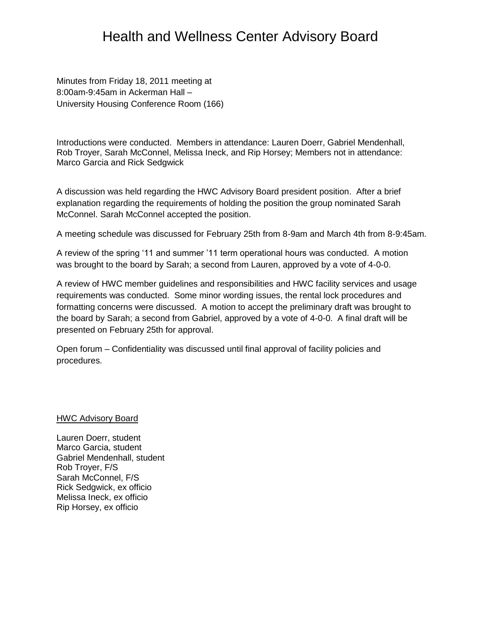## Health and Wellness Center Advisory Board

Minutes from Friday 18, 2011 meeting at 8:00am-9:45am in Ackerman Hall – University Housing Conference Room (166)

Introductions were conducted. Members in attendance: Lauren Doerr, Gabriel Mendenhall, Rob Troyer, Sarah McConnel, Melissa Ineck, and Rip Horsey; Members not in attendance: Marco Garcia and Rick Sedgwick

A discussion was held regarding the HWC Advisory Board president position. After a brief explanation regarding the requirements of holding the position the group nominated Sarah McConnel. Sarah McConnel accepted the position.

A meeting schedule was discussed for February 25th from 8-9am and March 4th from 8-9:45am.

A review of the spring '11 and summer '11 term operational hours was conducted. A motion was brought to the board by Sarah; a second from Lauren, approved by a vote of 4-0-0.

A review of HWC member guidelines and responsibilities and HWC facility services and usage requirements was conducted. Some minor wording issues, the rental lock procedures and formatting concerns were discussed. A motion to accept the preliminary draft was brought to the board by Sarah; a second from Gabriel, approved by a vote of 4-0-0. A final draft will be presented on February 25th for approval.

Open forum – Confidentiality was discussed until final approval of facility policies and procedures.

HWC Advisory Board

Lauren Doerr, student Marco Garcia, student Gabriel Mendenhall, student Rob Troyer, F/S Sarah McConnel, F/S Rick Sedgwick, ex officio Melissa Ineck, ex officio Rip Horsey, ex officio